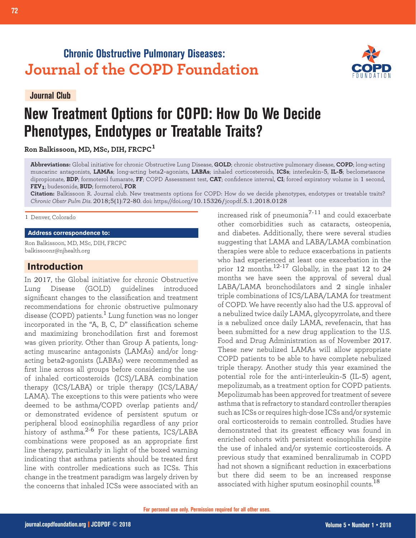## **Chronic Obstructive Pulmonary Diseases: Journal of the COPD Foundation**

**Journal Club**



# **New Treatment Options for COPD: How Do We Decide Phenotypes, Endotypes or Treatable Traits?**

**Ron Balkissoon, MD, MSc, DIH, FRCPC<sup>1</sup>**

**Abbreviations:** Global initiative for chronic Obstructive Lung Disease, **GOLD**; chronic obstructive pulmonary disease, **COPD**; long-acting muscarinc antagonists, **LAMAs**; long-acting beta2-agonists, **LABAs**; inhaled corticosteroids, **ICSs**; interleukin-5, **IL-5**; beclometasone dipropionate, **BDP**; formoterol fumarate, **FF**; COPD Assessment test, **CAT**; confidence interval, **CI**; forced expiratory volume in 1 second, **FEV1**; budesonide, **BUD**; formoterol, **FOR**

**Citation:** Balkissoon R. Journal club. New treatments options for COPD: How do we decide phenotypes, endotypes or treatable traits? *Chronic Obstr Pulm Dis*. 2018;5(1):72-80. doi: https://doi.org/10.15326/jcopdf.5.1.2018.0128

1 Denver, Colorado

#### **Address correspondence to:**

Ron Balkissoon, MD, MSc, DIH, FRCPC balkissoonr@njhealth.org

## **Introduction**

In 2017, the Global initiative for chronic Obstructive Lung Disease (GOLD) guidelines introduced significant changes to the classification and treatment recommendations for chronic obstructive pulmonary disease (COPD) patients.<sup>1</sup> Lung function was no longer incorporated in the "A, B, C, D" classification scheme and maximizing bronchodilation first and foremost was given priority. Other than Group A patients, longacting muscarinc antagonists (LAMAs) and/or longacting beta2-agonists (LABAs) were recommended as first line across all groups before considering the use of inhaled corticosteroids (ICS)/LABA combination therapy (ICS/LABA) or triple therapy (ICS/LABA/ LAMA). The exceptions to this were patients who were deemed to be asthma/COPD overlap patients and/ or demonstrated evidence of persistent sputum or peripheral blood eosinophilia regardless of any prior history of asthma.<sup>2-6</sup> For these patients, ICS/LABA combinations were proposed as an appropriate first line therapy, particularly in light of the boxed warning indicating that asthma patients should be treated first line with controller medications such as ICSs. This change in the treatment paradigm was largely driven by the concerns that inhaled ICSs were associated with an increased risk of pneumonia $^{7-11}$  and could exacerbate other comorbidities such as cataracts, osteopenia, and diabetes. Additionally, there were several studies suggesting that LAMA and LABA/LAMA combination therapies were able to reduce exacerbations in patients who had experienced at least one exacerbation in the prior 12 months.<sup>12-17</sup> Globally, in the past 12 to 24 months we have seen the approval of several dual LABA/LAMA bronchodilators and 2 single inhaler triple combinations of ICS/LABA/LAMA for treatment of COPD. We have recently also had the U.S. approval of a nebulized twice daily LAMA, glycopyrrolate, and there is a nebulized once daily LAMA, revefenacin, that has been submitted for a new drug application to the U.S. Food and Drug Administration as of November 2017. These new nebulized LAMAs will allow appropriate COPD patients to be able to have complete nebulized triple therapy. Another study this year examined the potential role for the anti-interleukin-5 (IL-5) agent, mepolizumab, as a treatment option for COPD patients. Mepolizumab has been approved for treatment of severe asthma that is refractory to standard controller therapies such as ICSs or requires high-dose ICSs and/or systemic oral corticosteroids to remain controlled. Studies have demonstrated that its greatest efficacy was found in enriched cohorts with persistent eosinophilia despite the use of inhaled and/or systemic corticosteroids. A previous study that examined benralizumab in COPD had not shown a significant reduction in exacerbations but there did seem to be an increased response associated with higher sputum eosinophil counts.<sup>18</sup>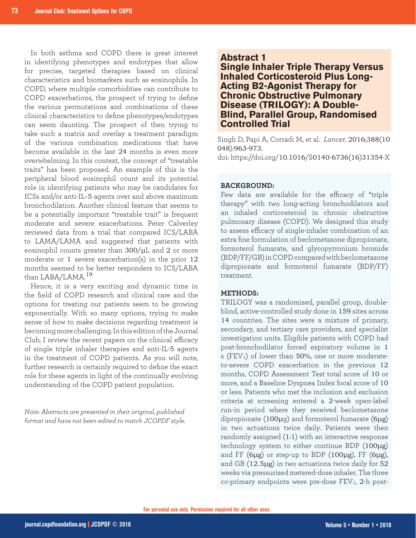In both asthma and COPD there is great interest in identifying phenotypes and endotypes that allow for precise, targeted therapies based on clinical characteristics and biomarkers such as eosinophils. In COPD, where multiple comorbidities can contribute to COPD exacerbations, the prospect of trying to define the various permutations and combinations of these clinical characteristics to define phenotypes/endotypes can seem daunting. The prospect of then trying to take such a matrix and overlay a treatment paradigm of the various combination medications that have become available in the last 24 months is even more overwhelming. In this context, the concept of "treatable traits" has been proposed. An example of this is the peripheral blood eosinophil count and its potential role in identifying patients who may be candidates for ICSs and/or anti-IL-5 agents over and above maximum bronchodilation. Another clinical feature that seems to be a potentially important "treatable trait" is frequent moderate and severe exacerbations. Peter Calverley reviewed data from a trial that compared ICS/LABA to LAMA/LAMA and suggested that patients with eosinophil counts greater than 300/μL and 2 or more moderate or 1 severe exacerbation(s) in the prior 12 months seemed to be better responders to ICS/LABA than LABA/LAMA.<sup>19</sup>

Hence, it is a very exciting and dynamic time in the field of COPD research and clinical care and the options for treating our patients seem to be growing exponentially. With so many options, trying to make sense of how to make decisions regarding treatment is becoming more challenging. In this edition of the Journal Club, I review the recent papers on the clinical efficacy of single triple inhaler therapies and anti-IL-5 agents in the treatment of COPD patients. As you will note, further research is certainly required to define the exact role for these agents in light of the continually evolving understanding of the COPD patient population.

*Note: Abstracts are presented in their original, published format and have not been edited to match JCOPDF style.*

## **Abstract 1**

**Single Inhaler Triple Therapy Versus Inhaled Corticosteroid Plus Long-Acting B2-Agonist Therapy for Chronic Obstructive Pulmonary Disease (TRILOGY): A Double-Blind, Parallel Group, Randomised Controlled Trial**

Singh D, Papi A, Corradi M, et al. *Lancet*. 2016;388(10 048):963-973.

doi: https://doi.org/10.1016/S0140-6736(16)31354-X

## **BACKGROUND:**

Few data are available for the efficacy of "triple therapy" with two long-acting bronchodilators and an inhaled corticosteroid in chronic obstructive pulmonary disease (COPD). We designed this study to assess efficacy of single-inhaler combination of an extra fine formulation of beclometasone dipropionate, formoterol fumarate, and glycopyrronium bromide (BDP/FF/GB) in COPD compared with beclometasone dipropionate and formoterol fumarate (BDP/FF) treatment.

## **METHODS:**

TRILOGY was a randomised, parallel group, doubleblind, active-controlled study done in 159 sites across 14 countries. The sites were a mixture of primary, secondary, and tertiary care providers, and specialist investigation units. Eligible patients with COPD had post-bronchodilator forced expiratory volume in 1 s (FEV<sub>1</sub>) of lower than 50%, one or more moderateto-severe COPD exacerbation in the previous 12 months, COPD Assessment Test total score of 10 or more, and a Baseline Dyspnea Index focal score of 10 or less. Patients who met the inclusion and exclusion criteria at screening entered a 2-week open-label run-in period where they received beclometasone dipropionate (100μg) and formoterol fumarate (6μg) in two actuations twice daily. Patients were then randomly assigned (1:1) with an interactive response technology system to either continue BDP (100μg) and FF  $(6\mu g)$  or step-up to BDP  $(100\mu g)$ , FF  $(6\mu g)$ , and GB (12.5μg) in two actuations twice daily for 52 weeks via pressurised metered-dose inhaler. The three co-primary endpoints were pre-dose FEV<sub>1</sub>, 2-h post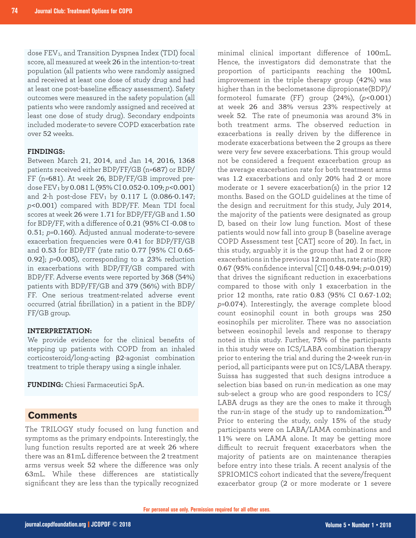dose FEV<sub>1</sub>, and Transition Dyspnea Index (TDI) focal score, all measured at week 26 in the intention-to-treat population (all patients who were randomly assigned and received at least one dose of study drug and had at least one post-baseline efficacy assessment). Safety outcomes were measured in the safety population (all patients who were randomly assigned and received at least one dose of study drug). Secondary endpoints included moderate-to severe COPD exacerbation rate over 52 weeks.

#### **FINDINGS:**

Between March 21, 2014, and Jan 14, 2016, 1368 patients received either BDP/FF/GB (n=687) or BDP/ FF (n=681). At week 26, BDP/FF/GB improved predose FEV1 by 0.081 L (95% CI 0.052-0.109; *p*<0.001) and 2-h post-dose  $FEV_1$  by 0.117 L (0.086-0.147; *p*<0.001) compared with BDP/FF. Mean TDI focal scores at week 26 were 1.71 for BDP/FF/GB and 1.50 for BDP/FF, with a difference of 0.21 (95% CI -0.08 to 0.51; *p*=0.160). Adjusted annual moderate-to-severe exacerbation frequencies were 0.41 for BDP/FF/GB and 0.53 for BDP/FF (rate ratio 0.77 [95% CI 0.65- 0.92]; *p*=0.005), corresponding to a 23% reduction in exacerbations with BDP/FF/GB compared with BDP/FF. Adverse events were reported by 368 (54%) patients with BDP/FF/GB and 379 (56%) with BDP/ FF. One serious treatment-related adverse event occurred (atrial fibrillation) in a patient in the BDP/ FF/GB group.

#### **INTERPRETATION:**

We provide evidence for the clinical benefits of stepping up patients with COPD from an inhaled corticosteroid/long-acting β2-agonist combination treatment to triple therapy using a single inhaler.

**FUNDING:** Chiesi Farmaceutici SpA.

## **Comments**

The TRILOGY study focused on lung function and symptoms as the primary endpoints. Interestingly, the lung function results reported are at week 26 where there was an 81mL difference between the 2 treatment arms versus week 52 where the difference was only 63mL. While these differences are statistically significant they are less than the typically recognized

minimal clinical important difference of 100mL. Hence, the investigators did demonstrate that the proportion of participants reaching the 100mL improvement in the triple therapy group (42%) was higher than in the beclometasone dipropionate(BDP)/ formoterol fumarate (FF) group (24%), (*p*<0.001) at week 26 and 38% versus 23% respectively at week 52. The rate of pneumonia was around 3% in both treatment arms. The observed reduction in exacerbations is really driven by the difference in moderate exacerbations between the 2 groups as there were very few severe exacerbations. This group would not be considered a frequent exacerbation group as the average exacerbation rate for both treatment arms was 1.2 exacerbations and only 20% had 2 or more moderate or 1 severe exacerbation(s) in the prior 12 months. Based on the GOLD guidelines at the time of the design and recruitment for this study, July 2014, the majority of the patients were designated as group D, based on their low lung function. Most of these patients would now fall into group B (baseline average COPD Assessment test [CAT] score of 20). In fact, in this study, arguably it is the group that had 2 or more exacerbations in the previous 12 months, rate ratio (RR) 0.67 (95% confidence interval [CI] 0.48-0.94; *p*=0.019) that drives the significant reduction in exacerbations compared to those with only 1 exacerbation in the prior 12 months, rate ratio 0.83 (95% CI 0.67-1.02; *p*=0.074). Interestingly, the average complete blood count eosinophil count in both groups was 250 eosinophils per microliter. There was no association between eosinophil levels and response to therapy noted in this study. Further, 75% of the participants in this study were on ICS/LABA combination therapy prior to entering the trial and during the 2-week run-in period, all participants were put on ICS/LABA therapy. Suissa has suggested that such designs introduce a selection bias based on run-in medication as one may sub-select a group who are good responders to ICS/ LABA drugs as they are the ones to make it through the run-in stage of the study up to randomization.<sup>20</sup> Prior to entering the study, only 15% of the study participants were on LABA/LAMA combinations and 11% were on LAMA alone. It may be getting more difficult to recruit frequent exacerbators when the majority of patients are on maintenance therapies before entry into these trials. A recent analysis of the SPRIOMICS cohort indicated that the severe/frequent exacerbator group (2 or more moderate or 1 severe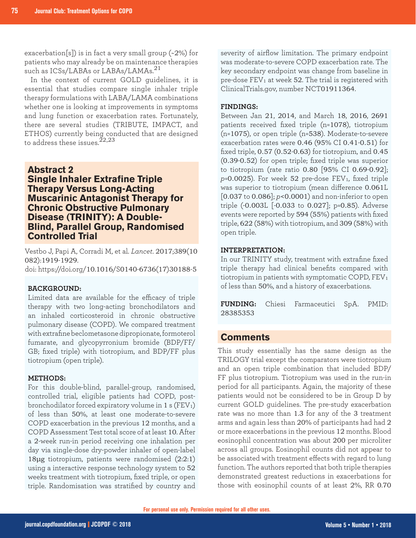exacerbation[s]) is in fact a very small group (~2%) for patients who may already be on maintenance therapies such as ICSs/LABAs or LABAs/LAMAs.<sup>21</sup>

In the context of current GOLD guidelines, it is essential that studies compare single inhaler triple therapy formulations with LABA/LAMA combinations whether one is looking at improvements in symptoms and lung function or exacerbation rates. Fortunately, there are several studies (TRIBUTE, IMPACT, and ETHOS) currently being conducted that are designed to address these issues. $^{22,23}$ 

## **Abstract 2**

## **Single Inhaler Extrafine Triple Therapy Versus Long-Acting Muscarinic Antagonist Therapy for Chronic Obstructive Pulmonary Disease (TRINITY): A Double-Blind, Parallel Group, Randomised Controlled Trial**

Vestbo J, Papi A, Corradi M, et al. *Lancet*. 2017;389(10 082):1919-1929. doi: https://doi.org/10.1016/S0140-6736(17)30188-5

#### **BACKGROUND:**

Limited data are available for the efficacy of triple therapy with two long-acting bronchodilators and an inhaled corticosteroid in chronic obstructive pulmonary disease (COPD). We compared treatment with extrafine beclometasone dipropionate, formoterol fumarate, and glycopyrronium bromide (BDP/FF/ GB; fixed triple) with tiotropium, and BDP/FF plus tiotropium (open triple).

#### **METHODS:**

For this double-blind, parallel-group, randomised, controlled trial, eligible patients had COPD, postbronchodilator forced expiratory volume in  $1 s (FEV<sub>1</sub>)$ of less than 50%, at least one moderate-to-severe COPD exacerbation in the previous 12 months, and a COPD Assessment Test total score of at least 10. After a 2-week run-in period receiving one inhalation per day via single-dose dry-powder inhaler of open-label 18μg tiotropium, patients were randomised (2:2:1) using a interactive response technology system to 52 weeks treatment with tiotropium, fixed triple, or open triple. Randomisation was stratified by country and severity of airflow limitation. The primary endpoint was moderate-to-severe COPD exacerbation rate. The key secondary endpoint was change from baseline in pre-dose  $FEV_1$  at week 52. The trial is registered with ClinicalTrials.gov, number NCT01911364.

## **FINDINGS:**

Between Jan 21, 2014, and March 18, 2016, 2691 patients received fixed triple (n=1078), tiotropium (n=1075), or open triple (n=538). Moderate-to-severe exacerbation rates were 0.46 (95% CI 0.41-0.51) for fixed triple, 0.57 (0.52-0.63) for tiotropium, and 0.45 (0.39-0.52) for open triple; fixed triple was superior to tiotropium (rate ratio 0.80 [95% CI 0.69-0.92];  $p=0.0025$ ). For week 52 pre-dose FEV<sub>1</sub>, fixed triple was superior to tiotropium (mean difference 0.061L [0.037 to 0.086]; *p*<0.0001) and non-inferior to open triple (-0.003L [-0.033 to 0.027]; p=0.85). Adverse events were reported by 594 (55%) patients with fixed triple, 622 (58%) with tiotropium, and 309 (58%) with open triple.

## **INTERPRETATION:**

In our TRINITY study, treatment with extrafine fixed triple therapy had clinical benefits compared with tiotropium in patients with symptomatic COPD,  $FEV<sub>1</sub>$ of less than 50%, and a history of exacerbations.

**FUNDING:** Chiesi Farmaceutici SpA. PMID: 28385353

## **Comments**

This study essentially has the same design as the TRILOGY trial except the comparators were tiotropium and an open triple combination that included BDP/ FF plus tiotropium. Tiotropium was used in the run-in period for all participants. Again, the majority of these patients would not be considered to be in Group D by current GOLD guidelines. The pre-study exacerbation rate was no more than 1.3 for any of the 3 treatment arms and again less than 20% of participants had had 2 or more exacerbations in the previous 12 months. Blood eosinophil concentration was about 200 per microliter across all groups. Eosinophil counts did not appear to be associated with treatment effects with regard to lung function. The authors reported that both triple therapies demonstrated greatest reductions in exacerbations for those with eosinophil counts of at least 2%, RR 0.70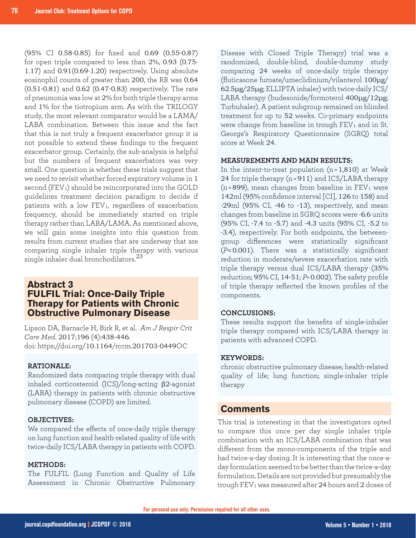(95% CI 0.58-0.85) for fixed and 0.69 (0.55-0.87) for open triple compared to less than 2%, 0.93 (0.75- 1.17) and 0.91(0.69-1.20) respectively. Using absolute eosinophil counts of greater than 200, the RR was 0.64 (0.51-0.81) and 0.62 (0.47-0.83) respectively. The rate of pneumonia was low at 2% for both triple therapy arms and 1% for the tiotropium arm. As with the TRILOGY study, the most relevant comparator would be a LAMA/ LABA combination. Between this issue and the fact that this is not truly a frequent exacerbator group it is not possible to extend these findings to the frequent exacerbator group. Certainly, the sub-analysis is helpful but the numbers of frequent exacerbators was very small. One question is whether these trials suggest that we need to revisit whether forced expiratory volume in 1 second (FEV<sub>1</sub>) should be reincorporated into the GOLD guidelines treatment decision paradigm to decide if patients with a low FEV<sub>1</sub>, regardless of exacerbation frequency, should be immediately started on triple therapy rather than LABA/LAMA. As mentioned above, we will gain some insights into this question from results from current studies that are underway that are comparing single inhaler triple therapy with various single inhaler dual bronchodilators.<sup>23</sup>

## **Abstract 3 FULFIL Trial: Once-Daily Triple Therapy for Patients with Chronic Obstructive Pulmonary Disease**

Lipson DA, Barnacle H, Birk R, et al. *Am J Respir Crit Care Med*. 2017;196 (4):438-446. doi: https://doi.org/10.1164/rccm.201703-0449OC

## **RATIONALE:**

Randomized data comparing triple therapy with dual inhaled corticosteroid (ICS)/long-acting β2-agonist (LABA) therapy in patients with chronic obstructive pulmonary disease (COPD) are limited.

#### **OBJECTIVES:**

We compared the effects of once-daily triple therapy on lung function and health-related quality of life with twice-daily ICS/LABA therapy in patients with COPD.

#### **METHODS:**

The FULFIL (Lung Function and Quality of Life Assessment in Chronic Obstructive Pulmonary Disease with Closed Triple Therapy) trial was a randomized, double-blind, double-dummy study comparing 24 weeks of once-daily triple therapy (fluticasone furoate/umeclidinium/vilanterol 100μg/ 62.5μg/25μg; ELLIPTA inhaler) with twice-daily ICS/ LABA therapy (budesonide/formoterol 400μg/12μg; Turbuhaler). A patient subgroup remained on blinded treatment for up to 52 weeks. Co-primary endpoints were change from baseline in trough FEV<sub>1</sub> and in St. George's Respiratory Questionnaire (SGRQ) total score at Week 24.

## **MEASUREMENTS AND MAIN RESULTS:**

In the intent-to-treat population  $(n=1,810)$  at Week 24 for triple therapy (n = 911) and ICS/LABA therapy  $(n=899)$ , mean changes from baseline in FEV<sub>1</sub> were 142ml (95% confidence interval [CI], 126 to 158) and -29ml (95% CI, -46 to -13), respectively, and mean changes from baseline in SGRQ scores were -6.6 units (95% CI, -7.4 to -5.7) and -4.3 units (95% CI, -5.2 to -3.4), respectively. For both endpoints, the betweengroup differences were statistically significant (*P*<0.001). There was a statistically significant reduction in moderate/severe exacerbation rate with triple therapy versus dual ICS/LABA therapy (35% reduction; 95% CI, 14-51; *P*= 0.002). The safety profile of triple therapy reflected the known profiles of the components.

#### **CONCLUSIONS:**

These results support the benefits of single-inhaler triple therapy compared with ICS/LABA therapy in patients with advanced COPD.

#### **KEYWORDS:**

chronic obstructive pulmonary disease; health-related quality of life; lung function; single-inhaler triple therapy

## **Comments**

This trial is interesting in that the investigators opted to compare this once per day single inhaler triple combination with an ICS/LABA combination that was different from the mono-components of the triple and had twice-a-day dosing. It is interesting that the once-aday formulation seemed to be better than the twice-a-day formulation. Details are not provided but presumably the trough  $FEV<sub>1</sub>$  was measured after 24 hours and 2 doses of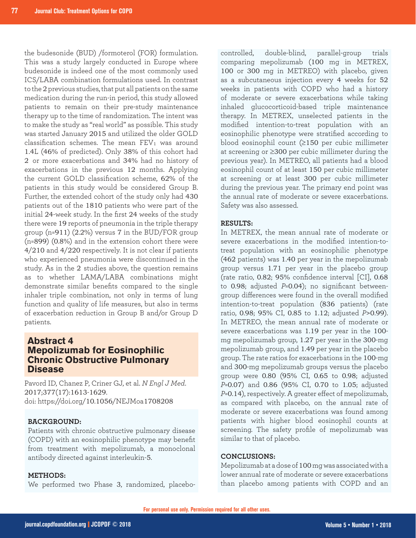the budesonide (BUD) /formoterol (FOR) formulation. This was a study largely conducted in Europe where budesonide is indeed one of the most commonly used ICS/LABA combination formulations used. In contrast to the 2 previous studies, that put all patients on the same medication during the run-in period, this study allowed patients to remain on their pre-study maintenance therapy up to the time of randomization. The intent was to make the study as "real world" as possible. This study was started January 2015 and utilized the older GOLD classification schemes. The mean  $FEV<sub>1</sub>$  was around 1.4L (46% of predicted). Only 38% of this cohort had 2 or more exacerbations and 34% had no history of exacerbations in the previous 12 months. Applying the current GOLD classification scheme, 62% of the patients in this study would be considered Group B. Further, the extended cohort of the study only had 430 patients out of the 1810 patients who were part of the initial 24-week study. In the first 24 weeks of the study there were 19 reports of pneumonia in the triple therapy group (n=911) (2.2%) versus 7 in the BUD/FOR group (n=899) (0.8%) and in the extension cohort there were 4/210 and 4/220 respectively. It is not clear if patients who experienced pneumonia were discontinued in the study. As in the 2 studies above, the question remains as to whether LAMA/LABA combinations might demonstrate similar benefits compared to the single inhaler triple combination, not only in terms of lung function and quality of life measures, but also in terms of exacerbation reduction in Group B and/or Group D patients.

## **Abstract 4 Mepolizumab for Eosinophilic Chronic Obstructive Pulmonary Disease**

Pavord ID, Chanez P, Criner GJ, et al. *N Engl J Med*. 2017;377(17):1613-1629. doi: https://doi.org/10.1056/NEJMoa1708208

## **BACKGROUND:**

Patients with chronic obstructive pulmonary disease (COPD) with an eosinophilic phenotype may benefit from treatment with mepolizumab, a monoclonal antibody directed against interleukin-5.

## **METHODS:**

We performed two Phase 3, randomized, placebo-

controlled, double-blind, parallel-group trials comparing mepolizumab (100 mg in METREX, 100 or 300 mg in METREO) with placebo, given as a subcutaneous injection every 4 weeks for 52 weeks in patients with COPD who had a history of moderate or severe exacerbations while taking inhaled glucocorticoid-based triple maintenance therapy. In METREX, unselected patients in the modified intention-to-treat population with an eosinophilic phenotype were stratified according to blood eosinophil count (≥150 per cubic millimeter at screening or ≥300 per cubic millimeter during the previous year). In METREO, all patients had a blood eosinophil count of at least 150 per cubic millimeter at screening or at least 300 per cubic millimeter during the previous year. The primary end point was the annual rate of moderate or severe exacerbations. Safety was also assessed.

#### **RESULTS:**

In METREX, the mean annual rate of moderate or severe exacerbations in the modified intention-totreat population with an eosinophilic phenotype (462 patients) was 1.40 per year in the mepolizumab group versus 1.71 per year in the placebo group (rate ratio, 0.82; 95% confidence interval [CI], 0.68 to 0.98; adjusted *P*=0.04); no significant betweengroup differences were found in the overall modified intention-to-treat population (836 patients) (rate ratio, 0.98; 95% CI, 0.85 to 1.12; adjusted *P*>0.99). In METREO, the mean annual rate of moderate or severe exacerbations was 1.19 per year in the 100 mg mepolizumab group, 1.27 per year in the 300-mg mepolizumab group, and 1.49 per year in the placebo group. The rate ratios for exacerbations in the 100-mg and 300-mg mepolizumab groups versus the placebo group were 0.80 (95% CI, 0.65 to 0.98; adjusted *P*=0.07) and 0.86 (95% CI, 0.70 to 1.05; adjusted *P*=0.14), respectively. A greater effect of mepolizumab, as compared with placebo, on the annual rate of moderate or severe exacerbations was found among patients with higher blood eosinophil counts at screening. The safety profile of mepolizumab was similar to that of placebo.

#### **CONCLUSIONS:**

Mepolizumab at a dose of 100 mg was associated with a lower annual rate of moderate or severe exacerbations than placebo among patients with COPD and an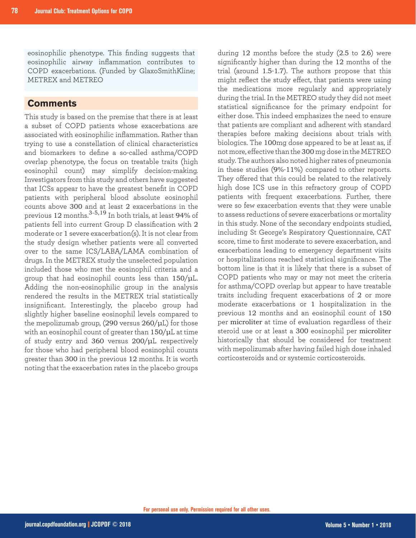eosinophilic phenotype. This finding suggests that eosinophilic airway inflammation contributes to COPD exacerbations. (Funded by GlaxoSmithKline; METREX and METREO

## **Comments**

This study is based on the premise that there is at least a subset of COPD patients whose exacerbations are associated with eosinophilic inflammation. Rather than trying to use a constellation of clinical characteristics and biomarkers to define a so-called asthma/COPD overlap phenotype, the focus on treatable traits (high eosinophil count) may simplify decision-making. Investigators from this study and others have suggested that ICSs appear to have the greatest benefit in COPD patients with peripheral blood absolute eosinophil counts above 300 and at least 2 exacerbations in the previous 12 months.3-5,19 In both trials, at least 94% of patients fell into current Group D classification with 2 moderate or 1 severe exacerbation(s). It is not clear from the study design whether patients were all converted over to the same ICS/LABA/LAMA combination of drugs. In the METREX study the unselected population included those who met the eosinophil criteria and a group that had eosinophil counts less than 150/μL. Adding the non-eosinophilic group in the analysis rendered the results in the METREX trial statistically insignificant. Interestingly, the placebo group had slightly higher baseline eosinophil levels compared to the mepolizumab group,  $(290 \text{ versus } 260/\mu\text{L})$  for those with an eosinophil count of greater than 150/μL at time of study entry and 360 versus 200/μL respectively for those who had peripheral blood eosinophil counts greater than 300 in the previous 12 months. It is worth noting that the exacerbation rates in the placebo groups

during 12 months before the study (2.5 to 2.6) were significantly higher than during the 12 months of the trial (around 1.5-1.7). The authors propose that this might reflect the study effect, that patients were using the medications more regularly and appropriately during the trial. In the METREO study they did not meet statistical significance for the primary endpoint for either dose. This indeed emphasizes the need to ensure that patients are compliant and adherent with standard therapies before making decisions about trials with biologics. The 100mg dose appeared to be at least as, if not more, effective than the 300 mg dose in the METREO study. The authors also noted higher rates of pneumonia in these studies (9%-11%) compared to other reports. They offered that this could be related to the relatively high dose ICS use in this refractory group of COPD patients with frequent exacerbations. Further, there were so few exacerbation events that they were unable to assess reductions of severe exacerbations or mortality in this study. None of the secondary endpoints studied, including St George's Respiratory Questionnaire, CAT score, time to first moderate to severe exacerbation, and exacerbations leading to emergency department visits or hospitalizations reached statistical significance. The bottom line is that it is likely that there is a subset of COPD patients who may or may not meet the criteria for asthma/COPD overlap but appear to have treatable traits including frequent exacerbations of 2 or more moderate exacerbations or 1 hospitalization in the previous 12 months and an eosinophil count of 150 per microliter at time of evaluation regardless of their steroid use or at least a 300 eosinophil per microliter historically that should be considered for treatment with mepolizumab after having failed high dose inhaled corticosteroids and or systemic corticosteroids.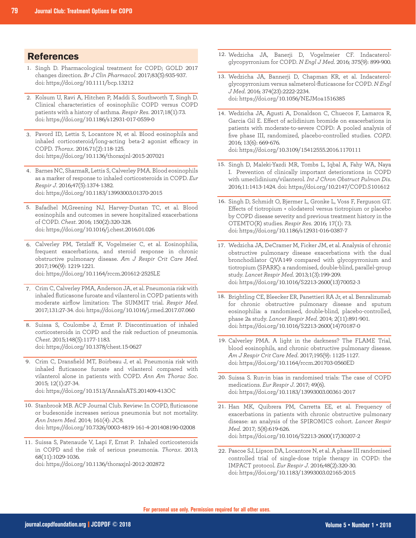## **References**

- 1. Singh D. Pharmacological treatment for COPD; GOLD 2017 changes direction. *Br J Clin Pharmacol*. 2017;83(5):935-937. doi: https://doi.org/10.1111/bcp.13212
- 2. Kolsum U, Ravi A, Hitchen P, Maddi S, Southworth T, Singh D. Clinical characteristics of eosinophilic COPD versus COPD patients with a history of asthma. *Respir Res*. 2017;18(1):73. doi: https://doi.org/10.1186/s12931-017-0559-0
- Pavord ID, Lettis S, Locantore N, et al. Blood eosinophils and 3. inhaled corticosteroid/long-acting beta-2 agonist efficacy in COPD. *Thorax*. 2016.71(2):118-125. doi: https://doi.org/10.1136/thoraxjnl-2015-207021
- 4. Barnes NC, SharmaR, Lettis S, Calverley PMA. Blood eosinophils as a marker of response to inhaled corticosteroids in COPD. *Eur Respir J*. 2016;47(5):1374-1382. doi: https://doi.org/10.1183/13993003.01370-2015
- 5. Bafadhel M,Greening NJ, Harvey-Dustan TC, et al. Blood eosinophils and outcomes in severe hospitalized exacerbations of COPD. *Chest*. 2016; 150(2):320-328. doi: https://doi.org/10.1016/j.chest.2016.01.026
- Calverley PM, Tetzlaff K, Vogelmeier C, et al. Eosinophilia, 6. frequent exacerbations, and steroid response in chronic obstructive pulmonary disease. *Am J Respir Crit Care Med*. 2017;196(9): 1219-1221. doi: https://doi.org/10.1164/rccm.201612-2525LE
- Crim C, Calverley PMA, Anderson JA, et al. Pneumonia risk with 7. inhaled fluticasone furoate and vilanterol in COPD patients with moderate airflow limitation: The SUMMIT trial. *Respir Med*. 2017;131:27-34. doi: https://doi.org/10.1016/j.rmed.2017.07.060
- 8. Suissa S, Coulombe J, Ernst P. Discontinuation of inhaled corticosteroids in COPD and the risk reduction of pneumonia. *Chest*. 2015;148(5):1177-1183. doi: https://doi.org/10.1378/chest.15-0627
- Crim C, Dransfield MT, Boirbeau J, et al. Pneumonia risk with 9. inhaled fluticasone furoate and vilanterol compared with vilanterol alone in patients with COPD. *Ann Am Thorac Soc*. 2015; 12(1):27-34. doi: https://doi.org/10.1513/AnnalsATS.201409-413OC
- 10. Stanbrook MB. ACP Journal Club. Review: In COPD, fluticasone or budesonide increases serious pneumonia but not mortality. *Ann Intern Med*. 2014; 161(4): JC8. doi: https://doi.org/10.7326/0003-4819-161-4-201408190-02008
- 11. Suissa S, Patenaude V, Lapi F, Ernst P. Inhaled corticosteroids in COPD and the risk of serious pneumonia. *Thorax*. 2013; 68(11):1029-1036.

doi: https://doi.org/10.1136/thoraxjnl-2012-202872

- 12. Wedzicha JA, Banerji D, Vogelmeier CF. Indacaterolglycopyrronium for COPD. *N Engl J Med*. 2016; 375(9): 899-900.
- 13. Wedzicha JA, Bannerji D, Chapman KR, et al. Indacaterolglycopyrronium versus salmeterol-fluticasone for COPD. *N Engl J Med*. 2016; 374(23):2222-2234. doi: https://doi.org/10.1056/NEJMoa1516385
- 14. Wedzicha JA, Agusti A, Donaldson C, Chuecos F, Lamarca R, Garcia Gil E. Effect of aclidinium bromide on exacerbations in patients with moderate-to-severe COPD: A pooled analysis of five phase III, randomized, placebo-controlled studies. *COPD*. 2016; 13(6): 669-676. doi: https://doi.org/10.3109/15412555.2016.1170111
- 15. Singh D, Maleki-Yazdi MR, Tombs L, Iqbal A, Fahy WA, Naya I. Prevention of clinically important deteriorations in COPD with umeclidinium/vilanterol. *Int J Chron Obstruct Pulmon Dis*. 2016;11:1413-1424. doi: https://doi.org/10.2147/COPD.S101612
- 16. Singh D, Schmidt O, Bjermer L, Gronke L, Voss F, Ferguson GT. Effects of tiotropium + olodaterol versus tiotropium or placebo by COPD disease severity and previous treatment history in the OTEMTO(R) studies. *Respir Res*. 2016; 17(1): 73. doi: https://doi.org/10.1186/s12931-016-0387-7
- 17. Wedzicha JA, DeCramer M, Ficker JM, et al. Analysis of chronic obstructive pulmonary disease exacerbations with the dual bronchodilator QVA149 compared with glycopyrronium and tiotropium (SPARK): a randomised, double-blind, parallel-group study. *Lancet Respir Med*. 2013;1(3):199-209. doi: https://doi.org/10.1016/S2213-2600(13)70052-3
- 18. Brightling CE, Bleecker ER, Panettieri RA Jr, et al. Benralizumab for chronic obstructive pulmonary disease and sputum eosinophilia: a randomised, double-blind, placebo-controlled, phase 2a study. *Lancet Respir Med*. 2014; 2(11):891-901. doi: https://doi.org/10.1016/S2213-2600(14)70187-0
- 19. Calverley PMA. A light in the darkness? The FLAME Trial, blood eosinophils, and chronic obstructive pulmonary disease. *Am J Respir Crit Care Med*. 2017;195(9): 1125-1127. doi: https://doi.org/10.1164/rccm.201703-0560ED
- 20. Suissa S. Run-in bias in randomised trials: The case of COPD medications. *Eur Respir J*. 2017; 49(6). doi: https://doi.org/10.1183/13993003.00361-2017
- 21. Han MK, Quibrera PM, Carretta EE, et al. Frequency of exacerbations in patients with chronic obstructive pulmonary disease: an analysis of the SPIROMICS cohort. *Lancet Respir Med*. 2017; 5(8):619-626. doi: https://doi.org/10.1016/S2213-2600(17)30207-2
- 22. Pascoe SJ, Lipson DA, Locantore N, et al. A phase III randomised controlled trial of single-dose triple therapy in COPD: the IMPACT protocol. *Eur Respir J*. 2016;48(2):320-30. doi: https://doi.org/10.1183/13993003.02165-2015